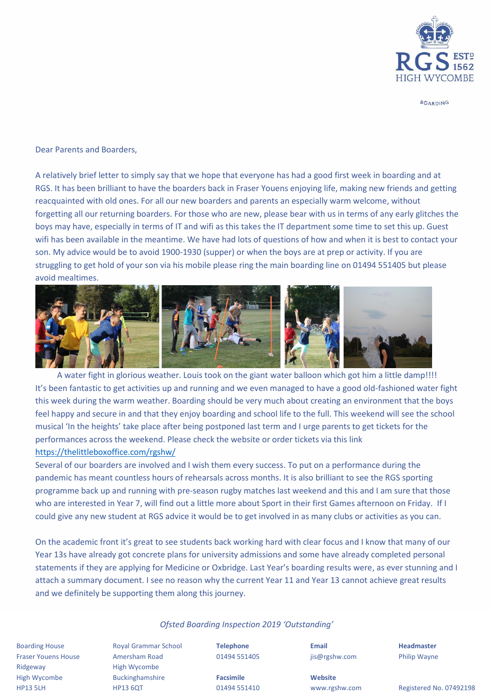

**BOARDING** 

Dear Parents and Boarders,

A relatively brief letter to simply say that we hope that everyone has had a good first week in boarding and at RGS. It has been brilliant to have the boarders back in Fraser Youens enjoying life, making new friends and getting reacquainted with old ones. For all our new boarders and parents an especially warm welcome, without forgetting all our returning boarders. For those who are new, please bear with us in terms of any early glitches the boys may have, especially in terms of IT and wifi as this takes the IT department some time to set this up. Guest wifi has been available in the meantime. We have had lots of questions of how and when it is best to contact your son. My advice would be to avoid 1900-1930 (supper) or when the boys are at prep or activity. If you are struggling to get hold of your son via his mobile please ring the main boarding line on 01494 551405 but please avoid mealtimes.



A water fight in glorious weather. Louis took on the giant water balloon which got him a little damp!!!! It's been fantastic to get activities up and running and we even managed to have a good old-fashioned water fight this week during the warm weather. Boarding should be very much about creating an environment that the boys feel happy and secure in and that they enjoy boarding and school life to the full. This weekend will see the school musical 'In the heights' take place after being postponed last term and I urge parents to get tickets for the performances across the weekend. Please check the website or order tickets via this link <https://thelittleboxoffice.com/rgshw/>

Several of our boarders are involved and I wish them every success. To put on a performance during the pandemic has meant countless hours of rehearsals across months. It is also brilliant to see the RGS sporting programme back up and running with pre-season rugby matches last weekend and this and I am sure that those who are interested in Year 7, will find out a little more about Sport in their first Games afternoon on Friday. If I could give any new student at RGS advice it would be to get involved in as many clubs or activities as you can.

On the academic front it's great to see students back working hard with clear focus and I know that many of our Year 13s have already got concrete plans for university admissions and some have already completed personal statements if they are applying for Medicine or Oxbridge. Last Year's boarding results were, as ever stunning and I attach a summary document. I see no reason why the current Year 11 and Year 13 cannot achieve great results and we definitely be supporting them along this journey.

## *Ofsted Boarding Inspection 2019 'Outstanding'*

Boarding House Royal Grammar School **Telephone Email Headmaster** Fraser Youens House Amersham Road 01494 551405 jis@rgshw.com Philip Wayne Ridgeway **High Wycombe** High Wycombe Buckinghamshire **Facsimile Website**

HP13 5LH HP13 6QT 01494 551410 www.rgshw.com Registered No. 07492198